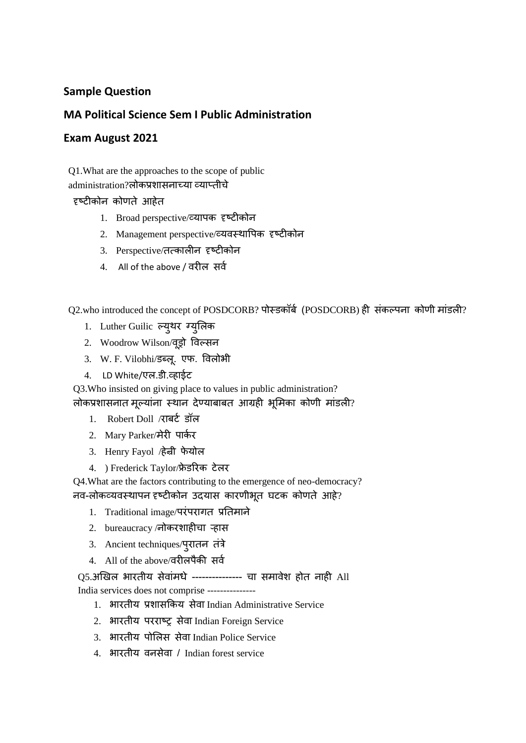## **Sample Question**

## **MA Political Science Sem I Public Administration**

## **Exam August 2021**

Q1.What are the approaches to the scope of public administration?लोकप्रशासनाच्या व्याप्तीचे

## दृष्टीकोन कोणते आहेत

- 1. Broad perspective/व्यापक दृष्टीकोन
- 2. Management perspective/व्यवस्थापपक दृष्टीकोन
- 3. Perspective/तत्कालीन दृष्टीकोन
- 4. All of the above / वरील सर्व

Q2.who introduced the concept of POSDCORB? पोस्डकॉर्व (POSDCORB) ही संकल्पना कोणी मांडली?

- 1. Luther Guilic ल्युथर ग्युललक
- 2. Woodrow Wilson/वूड्रो पवल्सन
- 3. W. F. Vilobhi/डब्लू. एफ. पवलोभी
- 4. LD White/एल.डी.व्हाईट

Q3.Who insisted on giving place to values in public administration? लोकप्रशासनात मूल्यांना स्थान देण्याबाबत आग्रही भूमिका कोणी मांडली?

- 1. Robert Doll /राबर्ट डॉल
- 2. Mary Parker/मेरी पार्कर
- 3. Henry Fayol /हेन्री फेयोल
- 4. ) Frederick Taylor/फ्रेडरिक टेलर

Q4.What are the factors contributing to the emergence of neo-democracy? नव-लोकव्यवस्थापन दृष्टीकोन उदयास कारणीभूत घटक कोणते आहे?

- 1. Traditional image/परंपरागत प्रततमाने
- 2. bureaucracy /नोकरशाहीचा ऱ्हास
- 3. Ancient techniques/पुरातन तंत्रे
- 4. All of the above/वरीलपैकी सर्व

Q5.अखिल भारतीय सेवांमधे --------------- चा समावेश होत नाही All

India services does not comprise ---------------

- 1. भारतीय प्रशासककय सेवा Indian Administrative Service
- 2. भारतीय परराष्र सेवा Indian Foreign Service
- 3. भारतीय पोलिस सेवा Indian Police Service
- 4. भारतीय वनसेवा / Indian forest service